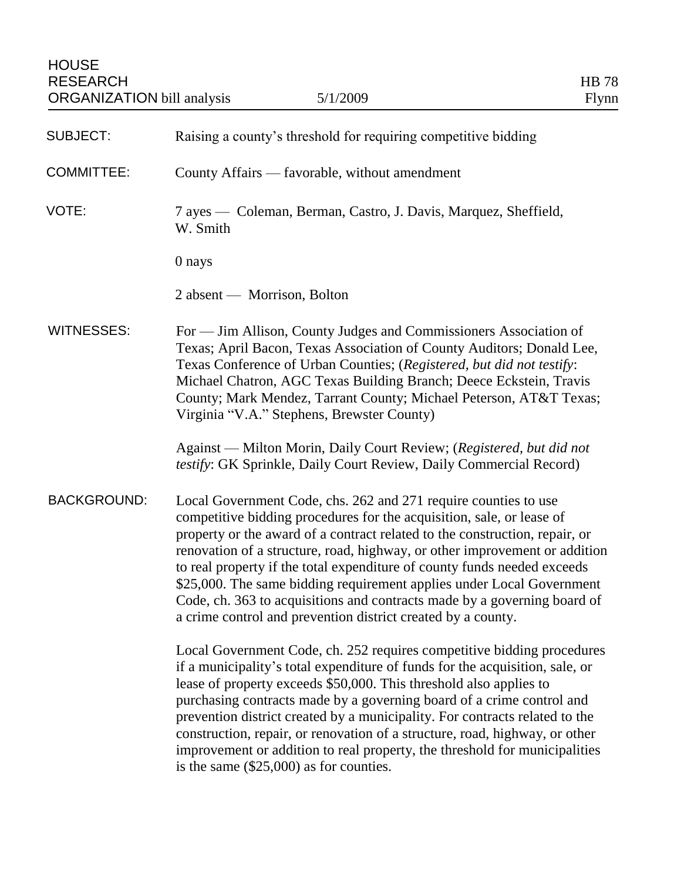| <b>SUBJECT:</b>    | Raising a county's threshold for requiring competitive bidding                                                                                                                                                                                                                                                                                                                                                                                                                                                                                                                                         |
|--------------------|--------------------------------------------------------------------------------------------------------------------------------------------------------------------------------------------------------------------------------------------------------------------------------------------------------------------------------------------------------------------------------------------------------------------------------------------------------------------------------------------------------------------------------------------------------------------------------------------------------|
| <b>COMMITTEE:</b>  | County Affairs — favorable, without amendment                                                                                                                                                                                                                                                                                                                                                                                                                                                                                                                                                          |
| VOTE:              | 7 ayes — Coleman, Berman, Castro, J. Davis, Marquez, Sheffield,<br>W. Smith                                                                                                                                                                                                                                                                                                                                                                                                                                                                                                                            |
|                    | 0 nays                                                                                                                                                                                                                                                                                                                                                                                                                                                                                                                                                                                                 |
|                    | 2 absent — Morrison, Bolton                                                                                                                                                                                                                                                                                                                                                                                                                                                                                                                                                                            |
| <b>WITNESSES:</b>  | For — Jim Allison, County Judges and Commissioners Association of<br>Texas; April Bacon, Texas Association of County Auditors; Donald Lee,<br>Texas Conference of Urban Counties; (Registered, but did not testify:<br>Michael Chatron, AGC Texas Building Branch; Deece Eckstein, Travis<br>County; Mark Mendez, Tarrant County; Michael Peterson, AT&T Texas;<br>Virginia "V.A." Stephens, Brewster County)                                                                                                                                                                                          |
|                    | Against — Milton Morin, Daily Court Review; (Registered, but did not<br>testify: GK Sprinkle, Daily Court Review, Daily Commercial Record)                                                                                                                                                                                                                                                                                                                                                                                                                                                             |
| <b>BACKGROUND:</b> | Local Government Code, chs. 262 and 271 require counties to use<br>competitive bidding procedures for the acquisition, sale, or lease of<br>property or the award of a contract related to the construction, repair, or<br>renovation of a structure, road, highway, or other improvement or addition<br>to real property if the total expenditure of county funds needed exceeds<br>\$25,000. The same bidding requirement applies under Local Government<br>Code, ch. 363 to acquisitions and contracts made by a governing board of<br>a crime control and prevention district created by a county. |
|                    | Local Government Code, ch. 252 requires competitive bidding procedures<br>if a municipality's total expenditure of funds for the acquisition, sale, or<br>lease of property exceeds \$50,000. This threshold also applies to<br>purchasing contracts made by a governing board of a crime control and<br>prevention district created by a municipality. For contracts related to the<br>construction, repair, or renovation of a structure, road, highway, or other<br>improvement or addition to real property, the threshold for municipalities<br>is the same $(\$25,000)$ as for counties.         |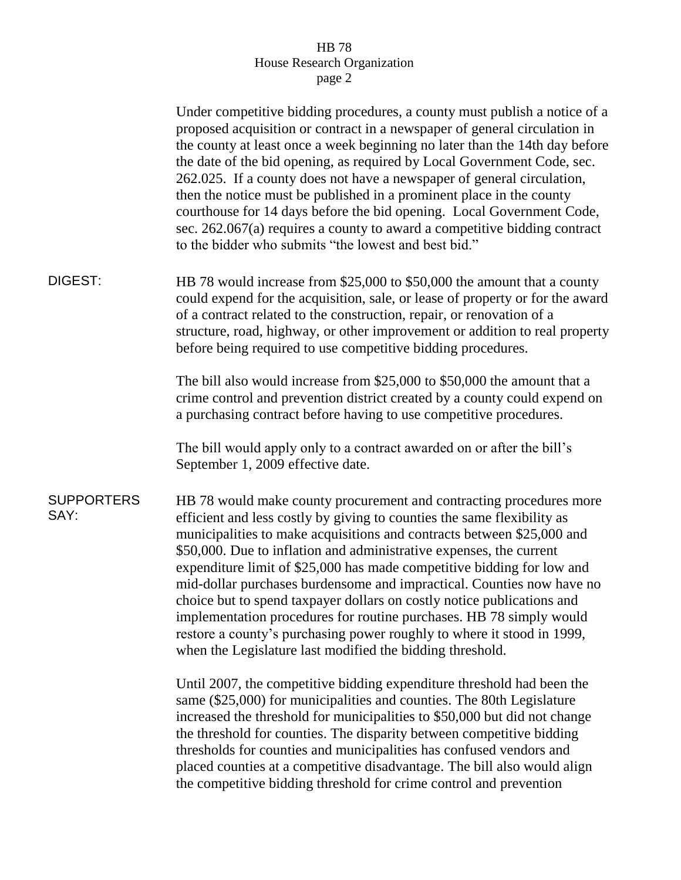## HB 78 House Research Organization page 2

|                           | Under competitive bidding procedures, a county must publish a notice of a<br>proposed acquisition or contract in a newspaper of general circulation in<br>the county at least once a week beginning no later than the 14th day before<br>the date of the bid opening, as required by Local Government Code, sec.<br>262.025. If a county does not have a newspaper of general circulation,<br>then the notice must be published in a prominent place in the county<br>courthouse for 14 days before the bid opening. Local Government Code,<br>sec. 262.067(a) requires a county to award a competitive bidding contract<br>to the bidder who submits "the lowest and best bid."                                                           |
|---------------------------|--------------------------------------------------------------------------------------------------------------------------------------------------------------------------------------------------------------------------------------------------------------------------------------------------------------------------------------------------------------------------------------------------------------------------------------------------------------------------------------------------------------------------------------------------------------------------------------------------------------------------------------------------------------------------------------------------------------------------------------------|
| DIGEST:                   | HB 78 would increase from \$25,000 to \$50,000 the amount that a county<br>could expend for the acquisition, sale, or lease of property or for the award<br>of a contract related to the construction, repair, or renovation of a<br>structure, road, highway, or other improvement or addition to real property<br>before being required to use competitive bidding procedures.                                                                                                                                                                                                                                                                                                                                                           |
|                           | The bill also would increase from \$25,000 to \$50,000 the amount that a<br>crime control and prevention district created by a county could expend on<br>a purchasing contract before having to use competitive procedures.                                                                                                                                                                                                                                                                                                                                                                                                                                                                                                                |
|                           | The bill would apply only to a contract awarded on or after the bill's<br>September 1, 2009 effective date.                                                                                                                                                                                                                                                                                                                                                                                                                                                                                                                                                                                                                                |
| <b>SUPPORTERS</b><br>SAY: | HB 78 would make county procurement and contracting procedures more<br>efficient and less costly by giving to counties the same flexibility as<br>municipalities to make acquisitions and contracts between \$25,000 and<br>\$50,000. Due to inflation and administrative expenses, the current<br>expenditure limit of \$25,000 has made competitive bidding for low and<br>mid-dollar purchases burdensome and impractical. Counties now have no<br>choice but to spend taxpayer dollars on costly notice publications and<br>implementation procedures for routine purchases. HB 78 simply would<br>restore a county's purchasing power roughly to where it stood in 1999,<br>when the Legislature last modified the bidding threshold. |
|                           | Until 2007, the competitive bidding expenditure threshold had been the<br>same (\$25,000) for municipalities and counties. The 80th Legislature<br>increased the threshold for municipalities to \$50,000 but did not change<br>the threshold for counties. The disparity between competitive bidding<br>thresholds for counties and municipalities has confused vendors and<br>placed counties at a competitive disadvantage. The bill also would align                                                                                                                                                                                                                                                                                   |

the competitive bidding threshold for crime control and prevention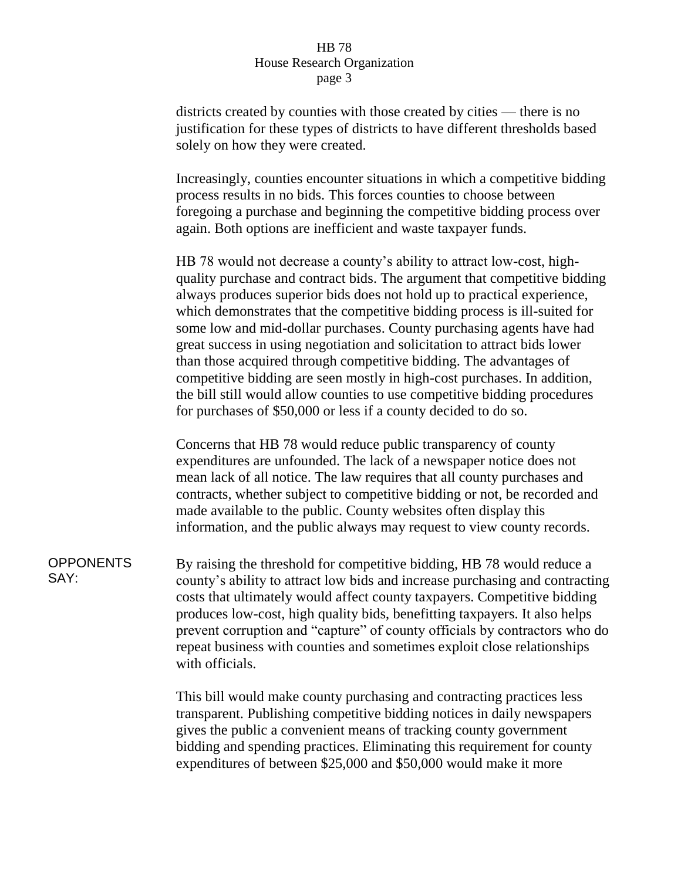## HB 78 House Research Organization page 3

districts created by counties with those created by cities — there is no justification for these types of districts to have different thresholds based solely on how they were created.

Increasingly, counties encounter situations in which a competitive bidding process results in no bids. This forces counties to choose between foregoing a purchase and beginning the competitive bidding process over again. Both options are inefficient and waste taxpayer funds.

HB 78 would not decrease a county's ability to attract low-cost, highquality purchase and contract bids. The argument that competitive bidding always produces superior bids does not hold up to practical experience, which demonstrates that the competitive bidding process is ill-suited for some low and mid-dollar purchases. County purchasing agents have had great success in using negotiation and solicitation to attract bids lower than those acquired through competitive bidding. The advantages of competitive bidding are seen mostly in high-cost purchases. In addition, the bill still would allow counties to use competitive bidding procedures for purchases of \$50,000 or less if a county decided to do so.

Concerns that HB 78 would reduce public transparency of county expenditures are unfounded. The lack of a newspaper notice does not mean lack of all notice. The law requires that all county purchases and contracts, whether subject to competitive bidding or not, be recorded and made available to the public. County websites often display this information, and the public always may request to view county records.

**OPPONENTS** SAY:

By raising the threshold for competitive bidding, HB 78 would reduce a county's ability to attract low bids and increase purchasing and contracting costs that ultimately would affect county taxpayers. Competitive bidding produces low-cost, high quality bids, benefitting taxpayers. It also helps prevent corruption and "capture" of county officials by contractors who do repeat business with counties and sometimes exploit close relationships with officials.

This bill would make county purchasing and contracting practices less transparent. Publishing competitive bidding notices in daily newspapers gives the public a convenient means of tracking county government bidding and spending practices. Eliminating this requirement for county expenditures of between \$25,000 and \$50,000 would make it more